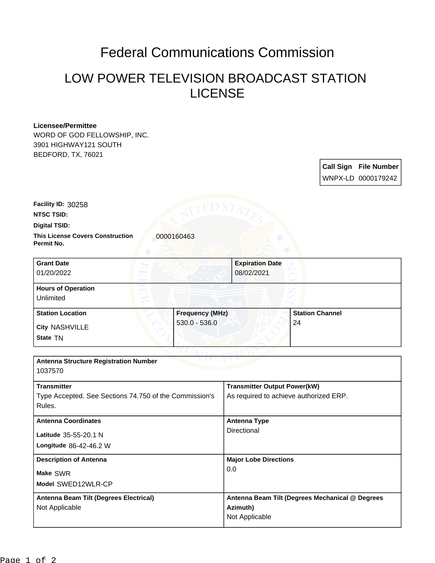## Federal Communications Commission

## LOW POWER TELEVISION BROADCAST STATION LICENSE

## **Licensee/Permittee**

WORD OF GOD FELLOWSHIP, INC. 3901 HIGHWAY121 SOUTH BEDFORD, TX, 76021

> **Call Sign File Number** WNPX-LD 0000179242

**Facility ID:** 30258

**NTSC TSID:**

**Digital TSID:**

**This License Covers Construction**  0000160463 **Permit No.**

**State** TN **City** NASHVILLE **Grant Date** 01/20/2022 **Expiration Date** 08/02/2021 **Hours of Operation** Unlimited **Station Location Frequency (MHz)** 530.0 - 536.0 **Station Channel** 24

| <b>Antenna Structure Registration Number</b><br>1037570                                |                                                                               |
|----------------------------------------------------------------------------------------|-------------------------------------------------------------------------------|
| <b>Transmitter</b><br>Type Accepted. See Sections 74.750 of the Commission's<br>Rules. | <b>Transmitter Output Power(kW)</b><br>As required to achieve authorized ERP. |
| <b>Antenna Coordinates</b><br>Latitude 35-55-20.1 N<br>Longitude 86-42-46.2 W          | <b>Antenna Type</b><br>Directional                                            |
| <b>Description of Antenna</b><br>Make SWR<br>Model SWED12WLR-CP                        | <b>Major Lobe Directions</b><br>0.0                                           |
| Antenna Beam Tilt (Degrees Electrical)<br>Not Applicable                               | Antenna Beam Tilt (Degrees Mechanical @ Degrees<br>Azimuth)<br>Not Applicable |